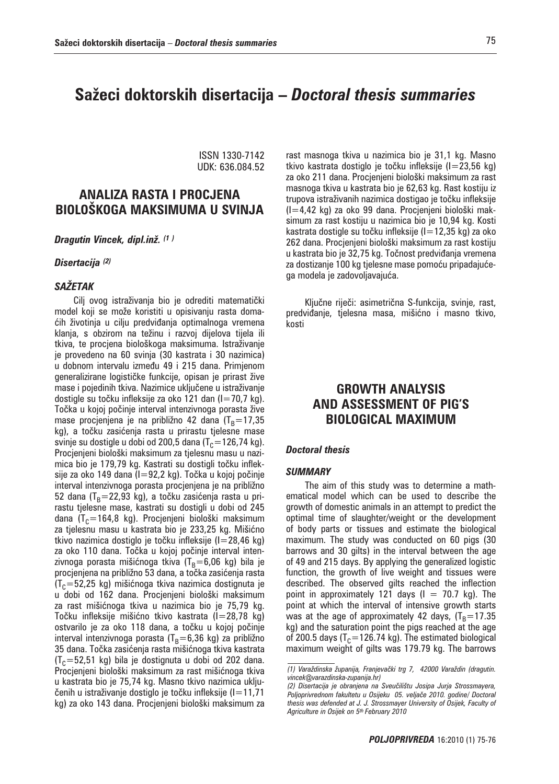# **Sa`eci doktorskih disertacija –** *Doctoral thesis summaries*

ISSN 1330-7142 UDK: 636.084.52

# **ANALIZA RASTA I PROCJENA BIOLO[KOGA MAKSIMUMA U SVINJA**

*Dragutin Vincek, dipl.inž. (1 )*

### *Disertacija (2)*

## *SAŽETAK*

Cilj ovog istraživanja bio je odrediti matematički model koji se može koristiti u opisivanju rasta domaćih životinja u cilju predviđanja optimalnoga vremena klanja, s obzirom na težinu i razvoj dijelova tijela ili tkiva, te procjena biološkoga maksimuma. Istraživanje je provedeno na 60 svinja (30 kastrata i 30 nazimica) u dobnom intervalu između 49 i 215 dana. Primjenom generalizirane logističke funkcije, opisan je prirast žive mase i pojedinih tkiva. Nazimice uključene u istraživanje dostigle su točku infleksije za oko 121 dan (I=70,7 kg). Točka u kojoj počinje interval intenzivnoga porasta žive mase procjenjena je na približno 42 dana (T<sub>B</sub>=17,35 kg), a točku zasićenja rasta u prirastu tjelesne mase svinje su dostigle u dobi od 200,5 dana (T<sub>C</sub>=126,74 kg). Procjenjeni biološki maksimum za tjelesnu masu u nazimica bio je 179,79 kg. Kastrati su dostigli točku infleksije za oko 149 dana (I=92,2 kg). Točka u kojoj počinje interval intenzivnoga porasta procjenjena je na približno 52 dana (T<sub>B</sub>=22,93 kg), a točku zasićenja rasta u prirastu tjelesne mase, kastrati su dostigli u dobi od 245 dana (T<sub>C</sub>=164,8 kg). Procjenjeni biološki maksimum za tjelesnu masu u kastrata bio je 233,25 kg. Mišićno tkivo nazimica dostiglo je točku infleksije (I=28,46 kg) za oko 110 dana. Točka u kojoj počinje interval intenzivnoga porasta mišićnoga tkiva (T<sub>B</sub>=6,06 kg) bila je procjenjena na približno 53 dana, a točka zasićenja rasta  $(T_c=52,25$  kg) mišićnoga tkiva nazimica dostignuta je u dobi od 162 dana. Procjenjeni biološki maksimum za rast mišićnoga tkiva u nazimica bio je 75,79 kg. Točku infleksije mišićno tkivo kastrata (I=28,78 kg) ostvarilo je za oko 118 dana, a točku u kojoj počinje interval intenzivnoga porasta (T<sub>B</sub>=6,36 kg) za približno 35 dana. Točka zasićenja rasta mišićnoga tkiva kastrata  $(T_c=52,51 \text{ kg})$  bila je dostignuta u dobi od 202 dana. Procjenjeni biološki maksimum za rast mišićnoga tkiva u kastrata bio je 75,74 kg. Masno tkivo nazimica uključenih u istraživanje dostiglo je točku infleksije (I=11,71 kg) za oko 143 dana. Procjenjeni biološki maksimum za

rast masnoga tkiva u nazimica bio je 31,1 kg. Masno tkivo kastrata dostiglo je točku infleksije (I=23,56 kg) za oko 211 dana. Procjenjeni biološki maksimum za rast masnoga tkiva u kastrata bio je 62,63 kg. Rast kostiju iz trupova istraživanih nazimica dostigao je točku infleksije (I=4,42 kg) za oko 99 dana. Procjenjeni biološki maksimum za rast kostiju u nazimica bio je 10,94 kg. Kosti kastrata dostigle su točku infleksije (I=12,35 kg) za oko 262 dana. Procjenjeni biološki maksimum za rast kostiju

za dostizanje 100 kg tjelesne mase pomoću pripadajućega modela je zadovoljavajuća.

u kastrata bio je 32,75 kg. Točnost predviđanja vremena

Ključne riječi: asimetrična S-funkcija, svinje, rast, predviđanje, tjelesna masa, mišićno i masno tkivo, kosti

# **GROWTH ANALYSIS AND ASSESSMENT OF PIG'S BIOLOGICAL MAXIMUM**

### *Doctoral thesis*

### *SUMMARY*

The aim of this study was to determine a mathematical model which can be used to describe the growth of domestic animals in an attempt to predict the optimal time of slaughter/weight or the development of body parts or tissues and estimate the biological maximum. The study was conducted on 60 pigs (30 barrows and 30 gilts) in the interval between the age of 49 and 215 days. By applying the generalized logistic function, the growth of live weight and tissues were described. The observed gilts reached the inflection point in approximately 121 days ( $I = 70.7$  kg). The point at which the interval of intensive growth starts was at the age of approximately 42 days,  $(T_B=17.35)$ kg) and the saturation point the pigs reached at the age of 200.5 days ( $T_c$ =126.74 kg). The estimated biological maximum weight of gilts was 179.79 kg. The barrows

*<sup>(1)</sup> Vara`dinska `upanija, Franjeva~ki trg 7, 42000 Vara`din (dragutin. vincek@varazdinska-zupanija.hr)*

*<sup>(2)</sup> Disertacija je obranjena na Sveu~ili{tu Josipa Jurja Strossmayera,*  Poljoprivrednom fakultetu u Osijeku 05. veljače 2010. godine/ Doctoral *thesis was defended at J. J. Strossmayer University of Osijek, Faculty of Agriculture in Osijek on 5th February 2010*